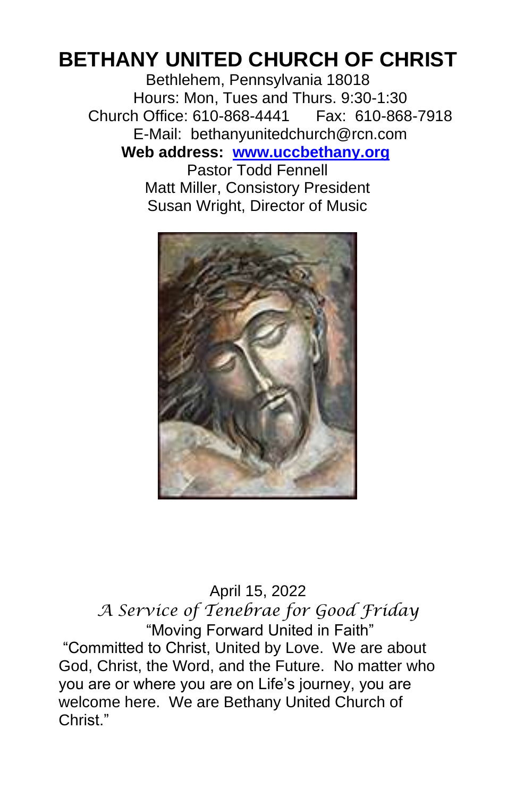# **BETHANY UNITED CHURCH OF CHRIST**

Bethlehem, Pennsylvania 18018 Hours: Mon, Tues and Thurs. 9:30-1:30 Church Office: 610-868-4441 Fax: 610-868-7918 E-Mail: bethanyunitedchurch@rcn.com **Web address: www.uccbethany.org** Pastor Todd Fennell

Matt Miller, Consistory President Susan Wright, Director of Music



April 15, 2022 *A Service of Tenebrae for Good Friday* "Moving Forward United in Faith" "Committed to Christ, United by Love. We are about God, Christ, the Word, and the Future. No matter who you are or where you are on Life's journey, you are welcome here. We are Bethany United Church of Christ<sup>"</sup>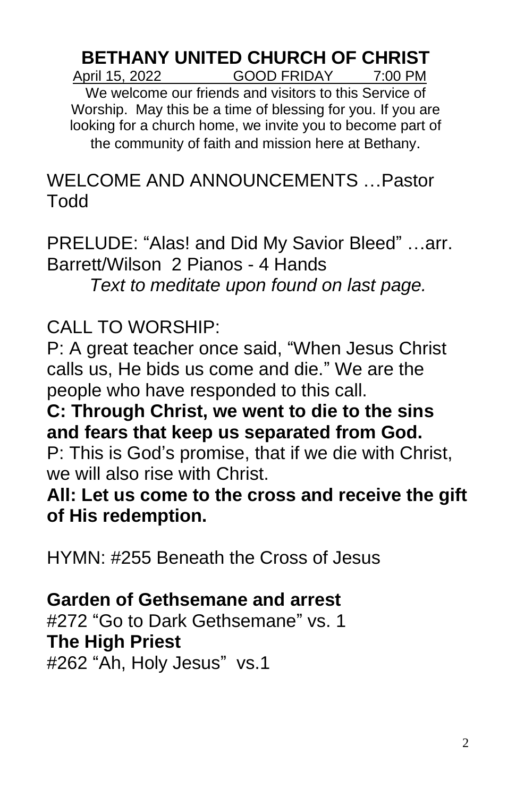#### **BETHANY UNITED CHURCH OF CHRIST** April 15, 2022 GOOD FRIDAY 7:00 PM

We welcome our friends and visitors to this Service of Worship. May this be a time of blessing for you. If you are looking for a church home, we invite you to become part of the community of faith and mission here at Bethany.

WELCOME AND ANNOUNCEMENTS …Pastor Todd

PRELUDE: "Alas! and Did My Savior Bleed" …arr. Barrett/Wilson 2 Pianos - 4 Hands *Text to meditate upon found on last page.*

CALL TO WORSHIP:

P: A great teacher once said, "When Jesus Christ calls us, He bids us come and die." We are the people who have responded to this call.

**C: Through Christ, we went to die to the sins and fears that keep us separated from God.** P: This is God's promise, that if we die with Christ,

we will also rise with Christ.

**All: Let us come to the cross and receive the gift of His redemption.**

HYMN: #255 Beneath the Cross of Jesus

### **Garden of Gethsemane and arrest**

#272 "Go to Dark Gethsemane" vs. 1 **The High Priest** #262 "Ah, Holy Jesus" vs.1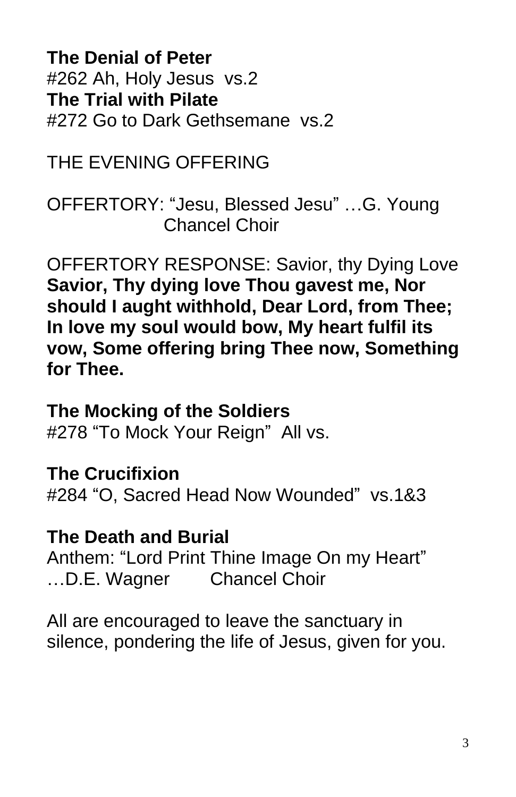**The Denial of Peter** #262 Ah, Holy Jesus vs.2 **The Trial with Pilate** #272 Go to Dark Gethsemane vs.2

THE EVENING OFFERING

OFFERTORY: "Jesu, Blessed Jesu" …G. Young Chancel Choir

OFFERTORY RESPONSE: Savior, thy Dying Love **Savior, Thy dying love Thou gavest me, Nor should I aught withhold, Dear Lord, from Thee; In love my soul would bow, My heart fulfil its vow, Some offering bring Thee now, Something for Thee.**

#### **The Mocking of the Soldiers**

#278 "To Mock Your Reign" All vs.

## **The Crucifixion**

#284 "O, Sacred Head Now Wounded" vs.1&3

#### **The Death and Burial**

Anthem: "Lord Print Thine Image On my Heart" …D.E. Wagner Chancel Choir

All are encouraged to leave the sanctuary in silence, pondering the life of Jesus, given for you.